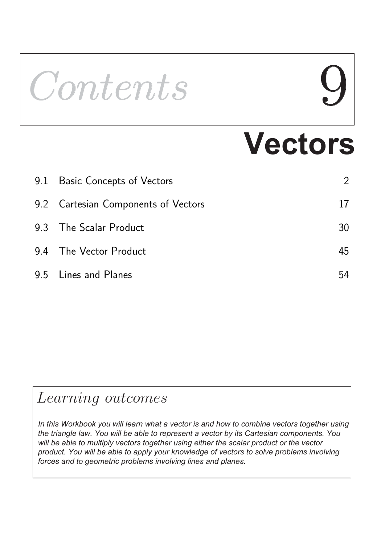# Contents **Vectors**  9.1 Basic Concepts of Vectors 2 9.2 Cartesian Components of Vectors **17**

| 9.3 The Scalar Product | 30 |
|------------------------|----|
| 9.4 The Vector Product | 45 |
| 9.5 Lines and Planes   |    |

# Learning outcomes

*In this Workbook you will learn what a vector is and how to combine vectors together using the triangle law. You will be able to represent a vector by its Cartesian components. You will be able to multiply vectors together using either the scalar product or the vector product. You will be able to apply your knowledge of vectors to solve problems involving forces and to geometric problems involving lines and planes.*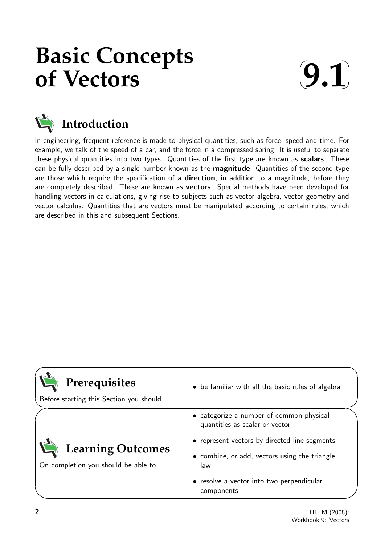# **Basic Concepts of Vectors**





# **Introduction**

In engineering, frequent reference is made to physical quantities, such as force, speed and time. For example, we talk of the speed of a car, and the force in a compressed spring. It is useful to separate these physical quantities into two types. Quantities of the first type are known as scalars. These can be fully described by a single number known as the **magnitude**. Quantities of the second type are those which require the specification of a **direction**, in addition to a magnitude, before they are completely described. These are known as **vectors**. Special methods have been developed for handling vectors in calculations, giving rise to subjects such as vector algebra, vector geometry and vector calculus. Quantities that are vectors must be manipulated according to certain rules, which are described in this and subsequent Sections.

# **Prerequisites**

 $\searrow$ Before starting this Section you should . . .

On completion you should be able to ...

**Learning Outcomes**

- be familiar with all the basic rules of algebra
- categorize a number of common physical quantities as scalar or vector
- represent vectors by directed line segments
- combine, or add, vectors using the triangle law
- resolve a vector into two perpendicular components

 $\overline{\phantom{0}}$ 

 $\overline{\phantom{0}}$ 

 $\ge$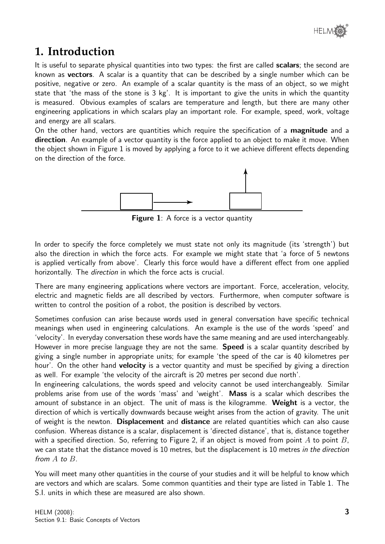# **1. Introduction**

It is useful to separate physical quantities into two types: the first are called **scalars**; the second are known as vectors. A scalar is a quantity that can be described by a single number which can be positive, negative or zero. An example of a scalar quantity is the mass of an object, so we might state that 'the mass of the stone is 3 kg'. It is important to give the units in which the quantity is measured. Obvious examples of scalars are temperature and length, but there are many other engineering applications in which scalars play an important role. For example, speed, work, voltage and energy are all scalars.

On the other hand, vectors are quantities which require the specification of a **magnitude** and a direction. An example of a vector quantity is the force applied to an object to make it move. When the object shown in Figure 1 is moved by applying a force to it we achieve different effects depending on the direction of the force.



Figure 1: A force is a vector quantity

In order to specify the force completely we must state not only its magnitude (its 'strength') but also the direction in which the force acts. For example we might state that 'a force of 5 newtons is applied vertically from above'. Clearly this force would have a different effect from one applied horizontally. The *direction* in which the force acts is crucial.

There are many engineering applications where vectors are important. Force, acceleration, velocity, electric and magnetic fields are all described by vectors. Furthermore, when computer software is written to control the position of a robot, the position is described by vectors.

Sometimes confusion can arise because words used in general conversation have specific technical meanings when used in engineering calculations. An example is the use of the words 'speed' and 'velocity'. In everyday conversation these words have the same meaning and are used interchangeably. However in more precise language they are not the same. **Speed** is a scalar quantity described by giving a single number in appropriate units; for example 'the speed of the car is 40 kilometres per hour'. On the other hand **velocity** is a vector quantity and must be specified by giving a direction as well. For example 'the velocity of the aircraft is 20 metres per second due north'.

In engineering calculations, the words speed and velocity cannot be used interchangeably. Similar problems arise from use of the words 'mass' and 'weight'. Mass is a scalar which describes the amount of substance in an object. The unit of mass is the kilogramme. Weight is a vector, the direction of which is vertically downwards because weight arises from the action of gravity. The unit of weight is the newton. **Displacement** and **distance** are related quantities which can also cause confusion. Whereas distance is a scalar, displacement is 'directed distance', that is, distance together with a specified direction. So, referring to Figure 2, if an object is moved from point A to point  $B$ , we can state that the distance moved is 10 metres, but the displacement is 10 metres in the direction from A to B.

You will meet many other quantities in the course of your studies and it will be helpful to know which are vectors and which are scalars. Some common quantities and their type are listed in Table 1. The S.I. units in which these are measured are also shown.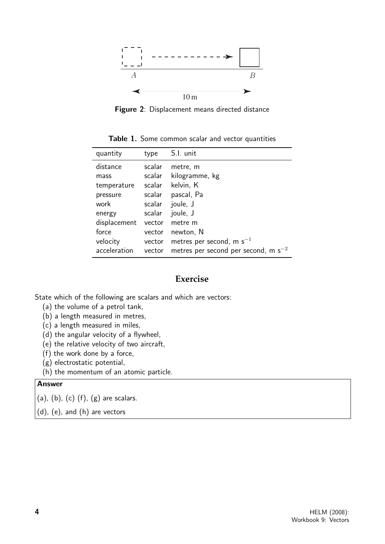

Figure 2: Displacement means directed distance

Table 1. Some common scalar and vector quantities

| quantity     | type   | S.I. unit                                |
|--------------|--------|------------------------------------------|
| distance     | scalar | metre, m                                 |
| mass         | scalar | kilogramme, kg                           |
| temperature  | scalar | kelvin, K                                |
| pressure     | scalar | pascal, Pa                               |
| work         | scalar | joule, J                                 |
| energy       | scalar | joule, J                                 |
| displacement | vector | metre m                                  |
| force        | vector | newton, N                                |
| velocity     | vector | metres per second, m $s^{-1}$            |
| acceleration | vector | metres per second per second, m $s^{-2}$ |

#### **Exercise**

State which of the following are scalars and which are vectors:

- (a) the volume of a petrol tank,
- (b) a length measured in metres,
- (c) a length measured in miles,
- (d) the angular velocity of a flywheel,
- (e) the relative velocity of two aircraft,
- (f) the work done by a force,
- (g) electrostatic potential,
- (h) the momentum of an atomic particle.

#### Answer

 $(a)$ ,  $(b)$ ,  $(c)$   $(f)$ ,  $(g)$  are scalars.

(d), (e), and (h) are vectors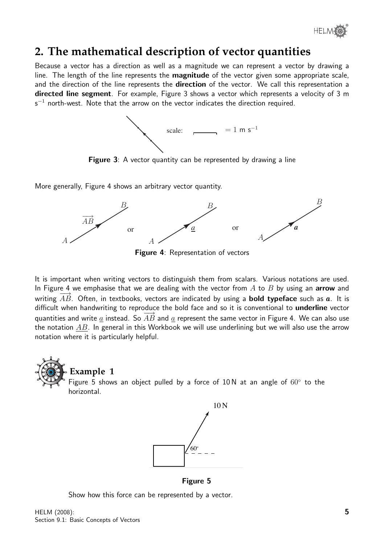

### **2. The mathematical description of vector quantities**

Because a vector has a direction as well as a magnitude we can represent a vector by drawing a line. The length of the line represents the **magnitude** of the vector given some appropriate scale, and the direction of the line represents the **direction** of the vector. We call this representation a directed line segment. For example, Figure 3 shows a vector which represents a velocity of 3 m  $\mathsf{s}^{-1}$  north-west. Note that the arrow on the vector indicates the direction required.



Figure 3: A vector quantity can be represented by drawing a line

More generally, Figure 4 shows an arbitrary vector quantity.



Figure 4: Representation of vectors

It is important when writing vectors to distinguish them from scalars. Various notations are used. In Figure 4 we emphasise that we are dealing with the vector from  $A$  to  $B$  by using an arrow and writing  $\overrightarrow{AB}$ . Often, in textbooks, vectors are indicated by using a **bold typeface** such as  $\overline{a}$ . It is difficult when handwriting to reproduce the bold face and so it is conventional to **underline** vector quantities and write a instead. So  $\overrightarrow{AB}$  and a represent the same vector in Figure 4. We can also use the notation  $AB$ . In general in this Workbook we will use underlining but we will also use the arrow notation where it is particularly helpful.





Figure 5

Show how this force can be represented by a vector.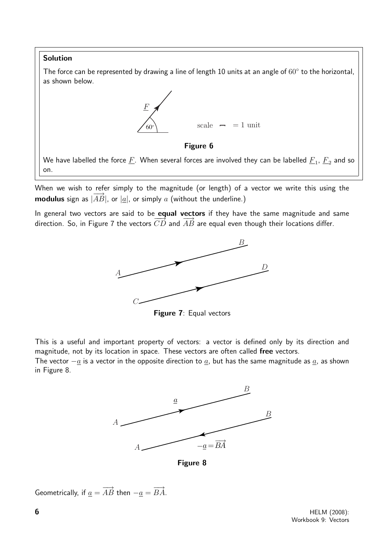#### Solution

The force can be represented by drawing a line of length 10 units at an angle of  $60^{\circ}$  to the horizontal, as shown below.



Figure 6

We have labelled the force  $\underline{F}.$  When several forces are involved they can be labelled  $\underline{F}_1$ ,  $\underline{F}_2$  and so on.

When we wish to refer simply to the magnitude (or length) of a vector we write this using the modulus sign as  $|\overline{AB}|$ , or  $|\underline{a}|$ , or simply a (without the underline.)

In general two vectors are said to be **equal vectors** if they have the same magnitude and same direction. So, in Figure 7 the vectors  $CD$  and  $\overrightarrow{AB}$  are equal even though their locations differ.



Figure 7: Equal vectors

This is a useful and important property of vectors: a vector is defined only by its direction and magnitude, not by its location in space. These vectors are often called free vectors.

The vector  $-a$  is a vector in the opposite direction to  $\underline{a}$ , but has the same magnitude as  $\underline{a}$ , as shown in Figure 8.



Figure 8

```
Geometrically, if \underline{a} = \overrightarrow{AB} then -\underline{a} = \overrightarrow{BA}.
```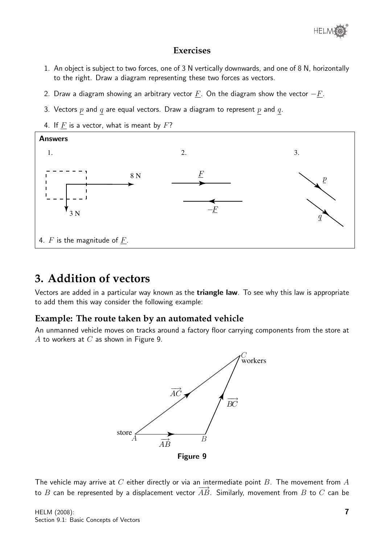

#### **Exercises**

- 1. An object is subject to two forces, one of 3 N vertically downwards, and one of 8 N, horizontally to the right. Draw a diagram representing these two forces as vectors.
- 2. Draw a diagram showing an arbitrary vector  $F$ . On the diagram show the vector  $-F$ .
- 3. Vectors  $p$  and  $q$  are equal vectors. Draw a diagram to represent  $p$  and  $q$ .
- 4. If  $F$  is a vector, what is meant by  $F$ ?



#### **3. Addition of vectors**

Vectors are added in a particular way known as the triangle law. To see why this law is appropriate to add them this way consider the following example:

#### **Example: The route taken by an automated vehicle**

An unmanned vehicle moves on tracks around a factory floor carrying components from the store at A to workers at  $C$  as shown in Figure 9.



The vehicle may arrive at  $C$  either directly or via an intermediate point  $B$ . The movement from  $A$ to B can be represented by a displacement vector  $\overrightarrow{AB}$ . Similarly, movement from B to C can be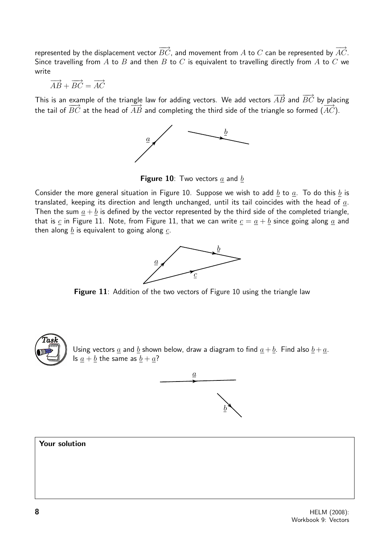represented by the displacement vector  $\overrightarrow{BC}$ , and movement from A to C can be represented by  $\overrightarrow{AC}$ . Since travelling from A to B and then B to C is equivalent to travelling directly from A to C we write

$$
\overrightarrow{AB} + \overrightarrow{BC} = \overrightarrow{AC}
$$

This is an example of the triangle law for adding vectors. We add vectors  $\overrightarrow{AB}$  and  $\overrightarrow{BC}$  by placing the tail of  $\overrightarrow{BC}$  at the head of  $\overrightarrow{AB}$  and completing the third side of the triangle so formed  $(\overrightarrow{AC})$ .



**Figure 10**: Two vectors  $\underline{a}$  and  $\underline{b}$ 

Consider the more general situation in Figure 10. Suppose we wish to add  $b$  to  $a$ . To do this  $b$  is translated, keeping its direction and length unchanged, until its tail coincides with the head of  $\underline{a}$ . Then the sum  $\underline{a} + \underline{b}$  is defined by the vector represented by the third side of the completed triangle, that is  $c$  in Figure 11. Note, from Figure 11, that we can write  $c = \underline{a} + \underline{b}$  since going along  $\underline{a}$  and then along  $b$  is equivalent to going along  $c$ .



Figure 11: Addition of the two vectors of Figure 10 using the triangle law



Using vectors  $\underline{a}$  and  $\underline{b}$  shown below, draw a diagram to find  $\underline{a} + \underline{b}$ . Find also  $\underline{b} + \underline{a}$ . Is  $\underline{a} + \underline{b}$  the same as  $\underline{b} + \underline{a}$ ?



#### Your solution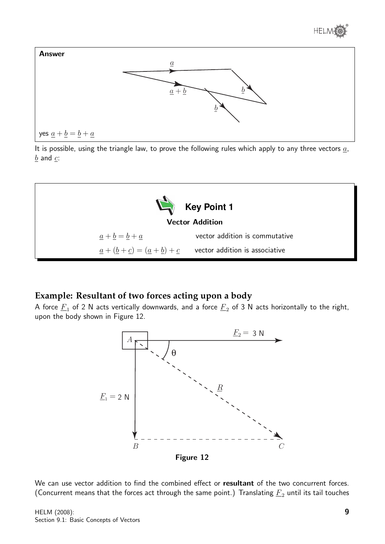



It is possible, using the triangle law, to prove the following rules which apply to any three vectors  $a$ ,  $\underline{b}$  and  $\underline{c}$ :



#### **Example: Resultant of two forces acting upon a body**

A force  $\underline{F}_1$  of 2 N acts vertically downwards, and a force  $\underline{F}_2$  of 3 N acts horizontally to the right, upon the body shown in Figure 12.



We can use vector addition to find the combined effect or resultant of the two concurrent forces. (Concurrent means that the forces act through the same point.) Translating  $\underline{F}_2$  until its tail touches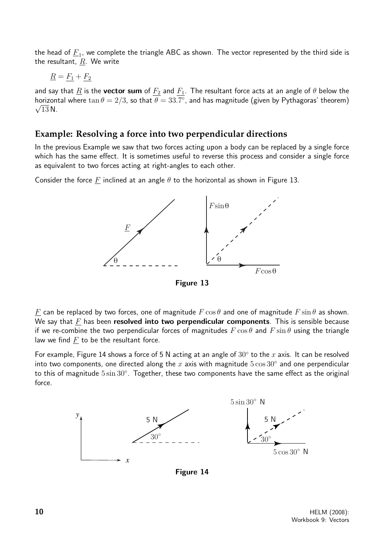the head of  $\underline{F}_1$ , we complete the triangle ABC as shown. The vector represented by the third side is the resultant,  $R$ . We write

$$
\underline{R} = \underline{F_1} + \underline{F_2}
$$

and say that  $\underline{R}$  is the **vector sum** of  $\underline{F_2}$  and  $\underline{F_1}$ . The resultant force acts at an angle of  $\theta$  below the horizontal where  $\tan \theta = 2/3$ , so that  $\theta = 33.7^{\circ}$ , and has magnitude (given by Pythagoras' theorem)  $\sqrt{13}$  N.

#### **Example: Resolving a force into two perpendicular directions**

In the previous Example we saw that two forces acting upon a body can be replaced by a single force which has the same effect. It is sometimes useful to reverse this process and consider a single force as equivalent to two forces acting at right-angles to each other.

Consider the force F inclined at an angle  $\theta$  to the horizontal as shown in Figure 13.



Figure 13

F can be replaced by two forces, one of magnitude  $F \cos \theta$  and one of magnitude  $F \sin \theta$  as shown. We say that  $F$  has been resolved into two perpendicular components. This is sensible because if we re-combine the two perpendicular forces of magnitudes  $F \cos \theta$  and  $F \sin \theta$  using the triangle law we find  $F$  to be the resultant force.

For example, Figure 14 shows a force of 5 N acting at an angle of  $30^{\circ}$  to the x axis. It can be resolved into two components, one directed along the  $x$  axis with magnitude  $5\cos 30^\circ$  and one perpendicular to this of magnitude  $5\sin 30^\circ$ . Together, these two components have the same effect as the original force.



Figure 14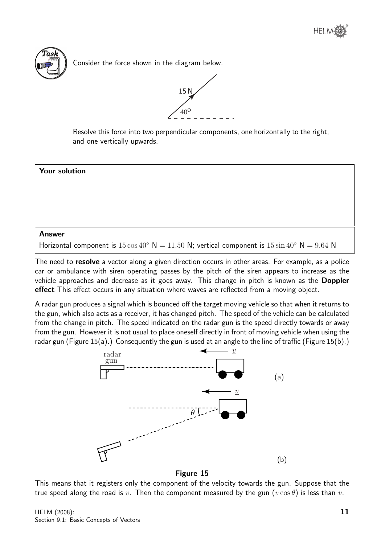

Consider the force shown in the diagram below.



Resolve this force into two perpendicular components, one horizontally to the right, and one vertically upwards.



The need to **resolve** a vector along a given direction occurs in other areas. For example, as a police car or ambulance with siren operating passes by the pitch of the siren appears to increase as the vehicle approaches and decrease as it goes away. This change in pitch is known as the Doppler effect This effect occurs in any situation where waves are reflected from a moving object.

A radar gun produces a signal which is bounced off the target moving vehicle so that when it returns to the gun, which also acts as a receiver, it has changed pitch. The speed of the vehicle can be calculated from the change in pitch. The speed indicated on the radar gun is the speed directly towards or away from the gun. However it is not usual to place oneself directly in front of moving vehicle when using the radar gun (Figure 15(a).) Consequently the gun is used at an angle to the line of traffic (Figure 15(b).)



Figure 15

This means that it registers only the component of the velocity towards the gun. Suppose that the true speed along the road is v. Then the component measured by the gun  $(v \cos \theta)$  is less than v.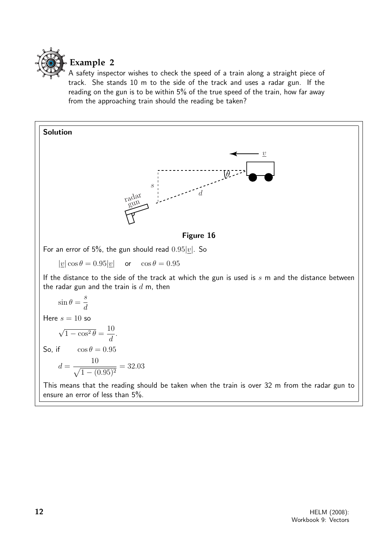

#### **Example 2**

A safety inspector wishes to check the speed of a train along a straight piece of track. She stands 10 m to the side of the track and uses a radar gun. If the reading on the gun is to be within 5% of the true speed of the train, how far away from the approaching train should the reading be taken?

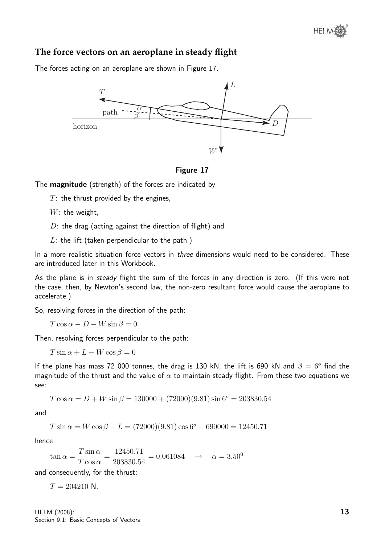#### **The force vectors on an aeroplane in steady flight**

The forces acting on an aeroplane are shown in Figure 17.





The magnitude (strength) of the forces are indicated by

 $T$ : the thrust provided by the engines,

 $W$ : the weight,

 $D$ : the drag (acting against the direction of flight) and

 $L$ : the lift (taken perpendicular to the path.)

In a more realistic situation force vectors in *three* dimensions would need to be considered. These are introduced later in this Workbook.

As the plane is in steady flight the sum of the forces in any direction is zero. (If this were not the case, then, by Newton's second law, the non-zero resultant force would cause the aeroplane to accelerate.)

So, resolving forces in the direction of the path:

 $T \cos \alpha - D - W \sin \beta = 0$ 

Then, resolving forces perpendicular to the path:

 $T \sin \alpha + L - W \cos \beta = 0$ 

If the plane has mass 72 000 tonnes, the drag is 130 kN, the lift is 690 kN and  $\beta = 6^{\circ}$  find the magnitude of the thrust and the value of  $\alpha$  to maintain steady flight. From these two equations we see:

 $T \cos \alpha = D + W \sin \beta = 130000 + (72000)(9.81) \sin 6^{\circ} = 203830.54$ 

and

 $T \sin \alpha = W \cos \beta - L = (72000)(9.81) \cos 6^{\circ} - 690000 = 12450.71$ 

hence

$$
\tan \alpha = \frac{T \sin \alpha}{T \cos \alpha} = \frac{12450.71}{203830.54} = 0.061084 \rightarrow \alpha = 3.50^{\circ}
$$

and consequently, for the thrust:

 $T = 204210$  N.

HELM (2008): Section 9.1: Basic Concepts of Vectors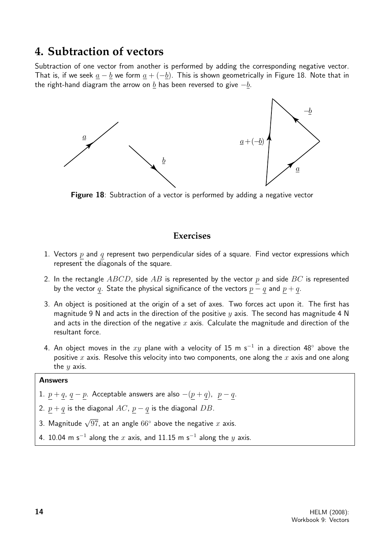#### **4. Subtraction of vectors**

Subtraction of one vector from another is performed by adding the corresponding negative vector. That is, if we seek  $a - b$  we form  $a + (-b)$ . This is shown geometrically in Figure 18. Note that in the right-hand diagram the arrow on b has been reversed to give  $-b$ .



Figure 18: Subtraction of a vector is performed by adding a negative vector

#### **Exercises**

- 1. Vectors  $p$  and  $q$  represent two perpendicular sides of a square. Find vector expressions which represent the diagonals of the square.
- 2. In the rectangle  $ABCD$ , side  $AB$  is represented by the vector p and side  $BC$  is represented by the vector q. State the physical significance of the vectors  $p - q$  and  $p + q$ .
- 3. An object is positioned at the origin of a set of axes. Two forces act upon it. The first has magnitude 9 N and acts in the direction of the positive  $y$  axis. The second has magnitude 4 N and acts in the direction of the negative x axis. Calculate the magnitude and direction of the resultant force.
- 4. An object moves in the  $xy$  plane with a velocity of 15 m s $^{-1}$  in a direction 48° above the positive x axis. Resolve this velocity into two components, one along the x axis and one along the  $y$  axis.

#### Answers

- 1.  $p + q$ ,  $q p$ . Acceptable answers are also  $-(p + q)$ ,  $p q$ .
- 2.  $p + q$  is the diagonal AC,  $p q$  is the diagonal DB.
- 3. Magnitude  $\sqrt{97}$ , at an angle  $66^\circ$  above the negative  $x$  axis.
- 4. 10.04 m s<sup>-1</sup> along the x axis, and 11.15 m s<sup>-1</sup> along the y axis.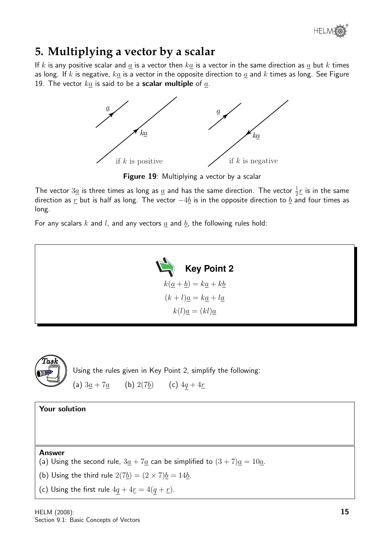

## **5. Multiplying a vector by a scalar**

If k is any positive scalar and  $\underline{a}$  is a vector then  $k\underline{a}$  is a vector in the same direction as  $\underline{a}$  but k times as long. If k is negative,  $k\underline{a}$  is a vector in the opposite direction to  $\underline{a}$  and  $k$  times as long. See Figure 19. The vector  $k\underline{a}$  is said to be a **scalar multiple** of  $\underline{a}$ .



**Figure 19:** Multiplying a vector by a scalar

The vector  $3\underline{a}$  is three times as long as  $\underline{a}$  and has the same direction. The vector  $\frac{1}{2} \underline{r}$  is in the same direction as  $\underline{r}$  but is half as long. The vector  $-4\underline{b}$  is in the opposite direction to  $\underline{b}$  and four times as long.

For any scalars k and l, and any vectors  $\underline{a}$  and  $\underline{b}$ , the following rules hold:





Using the rules given in Key Point 2, simplify the following: (a)  $3a + 7a$  (b)  $2(7b)$  (c)  $4q + 4r$ 

Your solution

Answer

(a) Using the second rule,  $3\underline{a} + 7\underline{a}$  can be simplified to  $(3 + 7)\underline{a} = 10\underline{a}$ .

(b) Using the third rule  $2(7b) = (2 \times 7)b = 14b$ .

(c) Using the first rule  $4q + 4r = 4(q + r)$ .